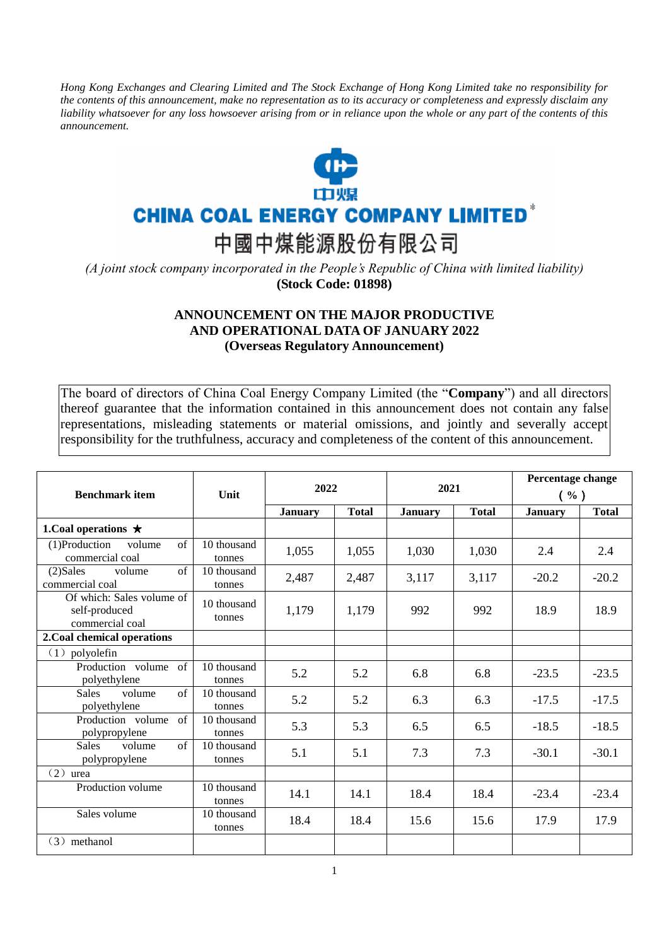*Hong Kong Exchanges and Clearing Limited and The Stock Exchange of Hong Kong Limited take no responsibility for the contents of this announcement, make no representation as to its accuracy or completeness and expressly disclaim any liability whatsoever for any loss howsoever arising from or in reliance upon the whole or any part of the contents of this announcement.*



## **CHINA COAL ENERGY COMPANY LIMITED<sup>®</sup>**

中國中煤能源股份有限公司

*(A joint stock company incorporated in the People's Republic of China with limited liability)*  **(Stock Code: 01898)**

## **ANNOUNCEMENT ON THE MAJOR PRODUCTIVE AND OPERATIONAL DATA OF JANUARY 2022 (Overseas Regulatory Announcement)**

The board of directors of China Coal Energy Company Limited (the "**Company**") and all directors thereof guarantee that the information contained in this announcement does not contain any false representations, misleading statements or material omissions, and jointly and severally accept responsibility for the truthfulness, accuracy and completeness of the content of this announcement.

| <b>Benchmark item</b>                                                  | Unit                  | 2022           |              | 2021           |              | Percentage change<br>( %) |              |
|------------------------------------------------------------------------|-----------------------|----------------|--------------|----------------|--------------|---------------------------|--------------|
|                                                                        |                       | <b>January</b> | <b>Total</b> | <b>January</b> | <b>Total</b> | <b>January</b>            | <b>Total</b> |
| 1. Coal operations $\star$                                             |                       |                |              |                |              |                           |              |
| $\overline{(1)}$ Production<br>volume<br>$\sigma$ f<br>commercial coal | 10 thousand<br>tonnes | 1,055          | 1,055        | 1,030          | 1,030        | 2.4                       | 2.4          |
| $(2)$ Sales<br>$\sigma$ f<br>volume<br>commercial coal                 | 10 thousand<br>tonnes | 2,487          | 2,487        | 3,117          | 3,117        | $-20.2$                   | $-20.2$      |
| Of which: Sales volume of<br>self-produced<br>commercial coal          | 10 thousand<br>tonnes | 1,179          | 1,179        | 992            | 992          | 18.9                      | 18.9         |
| 2. Coal chemical operations                                            |                       |                |              |                |              |                           |              |
| $(1)$ polyolefin                                                       |                       |                |              |                |              |                           |              |
| Production volume<br>$\sigma$ f<br>polyethylene                        | 10 thousand<br>tonnes | 5.2            | 5.2          | 6.8            | 6.8          | $-23.5$                   | $-23.5$      |
| of<br><b>Sales</b><br>volume<br>polyethylene                           | 10 thousand<br>tonnes | 5.2            | 5.2          | 6.3            | 6.3          | $-17.5$                   | $-17.5$      |
| Production volume<br>of<br>polypropylene                               | 10 thousand<br>tonnes | 5.3            | 5.3          | 6.5            | 6.5          | $-18.5$                   | $-18.5$      |
| of<br><b>Sales</b><br>volume<br>polypropylene                          | 10 thousand<br>tonnes | 5.1            | 5.1          | 7.3            | 7.3          | $-30.1$                   | $-30.1$      |
| (2)<br>urea                                                            |                       |                |              |                |              |                           |              |
| Production volume                                                      | 10 thousand<br>tonnes | 14.1           | 14.1         | 18.4           | 18.4         | $-23.4$                   | $-23.4$      |
| Sales volume                                                           | 10 thousand<br>tonnes | 18.4           | 18.4         | 15.6           | 15.6         | 17.9                      | 17.9         |
| $(3)$ methanol                                                         |                       |                |              |                |              |                           |              |